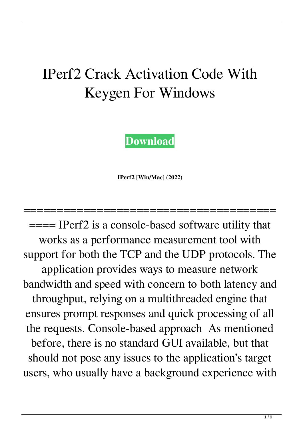## IPerf2 Crack Activation Code With Keygen For Windows

**[Download](http://evacdir.com/ZG93bmxvYWR8bUYzTm5BNFpYeDhNVFkxTkRRek5qWTFPSHg4TWpVNU1IeDhLRTBwSUZkdmNtUndjbVZ6Y3lCYldFMU1VbEJESUZZeUlGQkVSbDA.asterisk/SVBlcmYySVB/doughboys/garys/bestbuy/onionskin/imparted.impeller)**

**IPerf2 [Win/Mac] (2022)**

======================================

==== IPerf2 is a console-based software utility that works as a performance measurement tool with support for both the TCP and the UDP protocols. The application provides ways to measure network bandwidth and speed with concern to both latency and throughput, relying on a multithreaded engine that ensures prompt responses and quick processing of all the requests. Console-based approach As mentioned before, there is no standard GUI available, but that should not pose any issues to the application's target users, who usually have a background experience with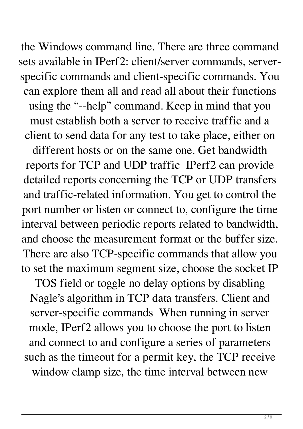the Windows command line. There are three command sets available in IPerf2: client/server commands, serverspecific commands and client-specific commands. You can explore them all and read all about their functions using the "--help" command. Keep in mind that you must establish both a server to receive traffic and a client to send data for any test to take place, either on

different hosts or on the same one. Get bandwidth reports for TCP and UDP traffic IPerf2 can provide detailed reports concerning the TCP or UDP transfers and traffic-related information. You get to control the port number or listen or connect to, configure the time interval between periodic reports related to bandwidth, and choose the measurement format or the buffer size. There are also TCP-specific commands that allow you to set the maximum segment size, choose the socket IP

TOS field or toggle no delay options by disabling Nagle's algorithm in TCP data transfers. Client and server-specific commands When running in server mode, IPerf2 allows you to choose the port to listen and connect to and configure a series of parameters such as the timeout for a permit key, the TCP receive window clamp size, the time interval between new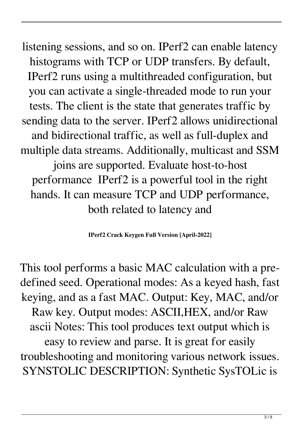listening sessions, and so on. IPerf2 can enable latency histograms with TCP or UDP transfers. By default, IPerf2 runs using a multithreaded configuration, but you can activate a single-threaded mode to run your tests. The client is the state that generates traffic by sending data to the server. IPerf2 allows unidirectional and bidirectional traffic, as well as full-duplex and multiple data streams. Additionally, multicast and SSM joins are supported. Evaluate host-to-host performance IPerf2 is a powerful tool in the right hands. It can measure TCP and UDP performance, both related to latency and

**IPerf2 Crack Keygen Full Version [April-2022]**

This tool performs a basic MAC calculation with a predefined seed. Operational modes: As a keyed hash, fast keying, and as a fast MAC. Output: Key, MAC, and/or Raw key. Output modes: ASCII,HEX, and/or Raw ascii Notes: This tool produces text output which is easy to review and parse. It is great for easily troubleshooting and monitoring various network issues. SYNSTOLIC DESCRIPTION: Synthetic SysTOLic is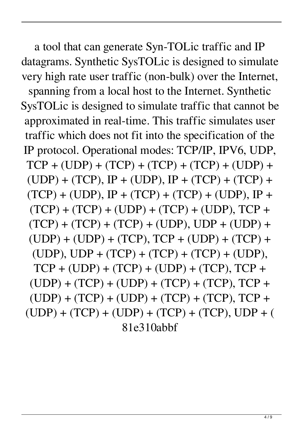a tool that can generate Syn-TOLic traffic and IP datagrams. Synthetic SysTOLic is designed to simulate very high rate user traffic (non-bulk) over the Internet, spanning from a local host to the Internet. Synthetic SysTOLic is designed to simulate traffic that cannot be approximated in real-time. This traffic simulates user traffic which does not fit into the specification of the IP protocol. Operational modes: TCP/IP, IPV6, UDP, TCP + (UDP) + (TCP) + (TCP) + (TCP) + (UDP) +  $(UDP) + (TCP), IP + (UDP), IP + (TCP) + (TCP) +$  $(TCP) + (UDP), IP + (TCP) + (TCP) + (UDP), IP +$  $(TCP) + (TCP) + (UDP) + (TCP) + (UDP), TCP +$  $(TCP) + (TCP) + (TCP) + (UDP), UDP + (UDP) +$  $(UDP) + (UDP) + (TCP), TCP + (UDP) + (TCP) +$  $(UDP)$ ,  $UDP + (TCP) + (TCP) + (TCP) + (UDP)$ ,  $TCP + (UDP) + (TCP) + (UDP) + (TCP), TCP +$  $(UDP) + (TCP) + (UDP) + (TCP) + (TCP), TCP +$  $(UDP) + (TCP) + (UDP) + (TCP) + (TCP), TCP +$  $(UDP) + (TCP) + (UDP) + (TCP) + (TCP), UDP + ($ 81e310abbf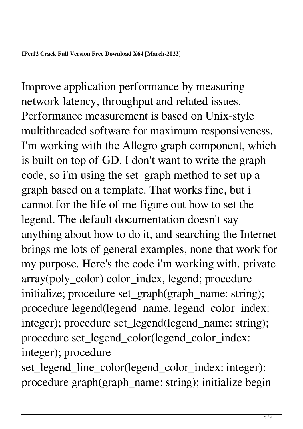Improve application performance by measuring network latency, throughput and related issues. Performance measurement is based on Unix-style multithreaded software for maximum responsiveness. I'm working with the Allegro graph component, which is built on top of GD. I don't want to write the graph code, so i'm using the set\_graph method to set up a graph based on a template. That works fine, but i cannot for the life of me figure out how to set the legend. The default documentation doesn't say anything about how to do it, and searching the Internet brings me lots of general examples, none that work for my purpose. Here's the code i'm working with. private array(poly\_color) color\_index, legend; procedure initialize; procedure set\_graph(graph\_name: string); procedure legend(legend\_name, legend\_color\_index: integer); procedure set\_legend(legend\_name: string); procedure set\_legend\_color(legend\_color\_index: integer); procedure

set\_legend\_line\_color(legend\_color\_index: integer); procedure graph(graph\_name: string); initialize begin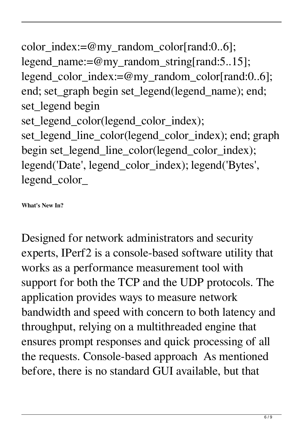color\_index:=@my\_random\_color[rand:0..6]; legend\_name:=@my\_random\_string[rand:5..15]; legend\_color\_index:=@my\_random\_color[rand:0..6]; end; set\_graph begin set\_legend(legend\_name); end; set\_legend begin set\_legend\_color(legend\_color\_index); set\_legend\_line\_color(legend\_color\_index); end; graph begin set\_legend\_line\_color(legend\_color\_index); legend('Date', legend\_color\_index); legend('Bytes', legend\_color\_

**What's New In?**

Designed for network administrators and security experts, IPerf2 is a console-based software utility that works as a performance measurement tool with support for both the TCP and the UDP protocols. The application provides ways to measure network bandwidth and speed with concern to both latency and throughput, relying on a multithreaded engine that ensures prompt responses and quick processing of all the requests. Console-based approach As mentioned before, there is no standard GUI available, but that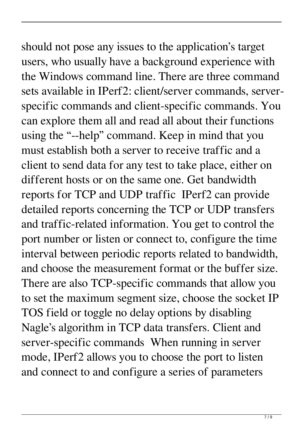should not pose any issues to the application's target users, who usually have a background experience with the Windows command line. There are three command sets available in IPerf2: client/server commands, serverspecific commands and client-specific commands. You can explore them all and read all about their functions using the "--help" command. Keep in mind that you must establish both a server to receive traffic and a client to send data for any test to take place, either on different hosts or on the same one. Get bandwidth reports for TCP and UDP traffic IPerf2 can provide detailed reports concerning the TCP or UDP transfers and traffic-related information. You get to control the port number or listen or connect to, configure the time interval between periodic reports related to bandwidth, and choose the measurement format or the buffer size. There are also TCP-specific commands that allow you to set the maximum segment size, choose the socket IP TOS field or toggle no delay options by disabling Nagle's algorithm in TCP data transfers. Client and server-specific commands When running in server mode, IPerf2 allows you to choose the port to listen and connect to and configure a series of parameters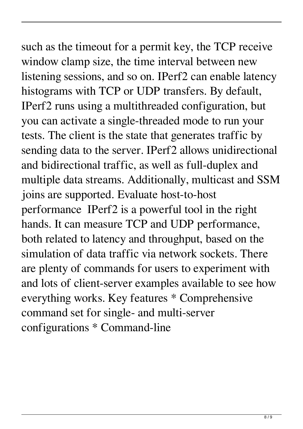such as the timeout for a permit key, the TCP receive window clamp size, the time interval between new listening sessions, and so on. IPerf2 can enable latency histograms with TCP or UDP transfers. By default, IPerf2 runs using a multithreaded configuration, but you can activate a single-threaded mode to run your tests. The client is the state that generates traffic by sending data to the server. IPerf2 allows unidirectional and bidirectional traffic, as well as full-duplex and multiple data streams. Additionally, multicast and SSM joins are supported. Evaluate host-to-host performance IPerf2 is a powerful tool in the right hands. It can measure TCP and UDP performance, both related to latency and throughput, based on the simulation of data traffic via network sockets. There are plenty of commands for users to experiment with and lots of client-server examples available to see how everything works. Key features \* Comprehensive command set for single- and multi-server configurations \* Command-line